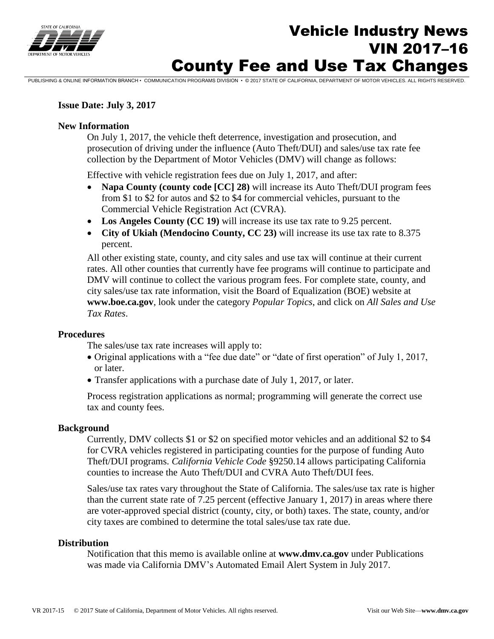

# Vehicle Industry News VIN 2017–16 County Fee and Use Tax Changes

PUBLISHING & ONLINE INFORMATION BRANCH • COMMUNICATION PROGRAMS DIVISION • © 2017 STATE OF CALIFORNIA, DEPARTMENT OF MOTOR VEHICLES. ALL RIGHTS RESERVED.

#### **Issue Date: July 3, 2017**

#### **New Information**

On July 1, 2017, the vehicle theft deterrence, investigation and prosecution, and prosecution of driving under the influence (Auto Theft/DUI) and sales/use tax rate fee collection by the Department of Motor Vehicles (DMV) will change as follows:

Effective with vehicle registration fees due on July 1, 2017, and after:

- **Napa County (county code [CC] 28)** will increase its Auto Theft/DUI program fees from \$1 to \$2 for autos and \$2 to \$4 for commercial vehicles, pursuant to the Commercial Vehicle Registration Act (CVRA).
- **Los Angeles County (CC 19)** will increase its use tax rate to 9.25 percent.
- **City of Ukiah (Mendocino County, CC 23)** will increase its use tax rate to 8.375 percent.

All other existing state, county, and city sales and use tax will continue at their current rates. All other counties that currently have fee programs will continue to participate and DMV will continue to collect the various program fees. For complete state, county, and city sales/use tax rate information, visit the Board of Equalization (BOE) website at **[www.boe.ca.gov](http://www.boe.ca.gov/)**, look under the category *Popular Topics*, and click on *All Sales and Use Tax Rates*.

#### **Procedures**

The sales/use tax rate increases will apply to:

- Original applications with a "fee due date" or "date of first operation" of July 1, 2017, or later.
- Transfer applications with a purchase date of July 1, 2017, or later.

Process registration applications as normal; programming will generate the correct use tax and county fees.

#### **Background**

Currently, DMV collects \$1 or \$2 on specified motor vehicles and an additional \$2 to \$4 for CVRA vehicles registered in participating counties for the purpose of funding Auto Theft/DUI programs. *California Vehicle Code* §9250.14 allows participating California counties to increase the Auto Theft/DUI and CVRA Auto Theft/DUI fees.

Sales/use tax rates vary throughout the State of California. The sales/use tax rate is higher than the current state rate of 7.25 percent (effective January 1, 2017) in areas where there are voter-approved special district (county, city, or both) taxes. The state, county, and/or city taxes are combined to determine the total sales/use tax rate due.

#### **Distribution**

Notification that this memo is available online at **www.dmv.ca.gov** under Publications was made via California DMV's Automated Email Alert System in July 2017.